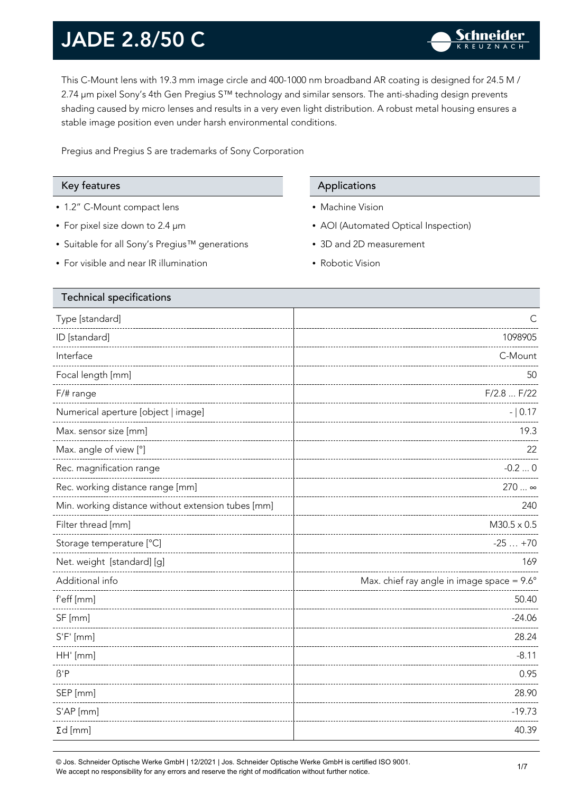This C-Mount lens with 19.3 mm image circle and 400-1000 nm broadband AR coating is designed for 24.5 M / 2.74 µm pixel Sony's 4th Gen Pregius S™ technology and similar sensors. The anti-shading design prevents shading caused by micro lenses and results in a very even light distribution. A robust metal housing ensures a stable image position even under harsh environmental conditions.

Pregius and Pregius S are trademarks of Sony Corporation

- 1.2" C-Mount compact lens
- For pixel size down to 2.4 µm
- Suitable for all Sony's Pregius™ generations
- For visible and near IR illumination

### Key features Applications Applications

- Machine Vision
- AOI (Automated Optical Inspection)
- 3D and 2D measurement
- Robotic Vision

| <b>Technical specifications</b>                    |                                                     |  |
|----------------------------------------------------|-----------------------------------------------------|--|
| Type [standard]                                    |                                                     |  |
| ID [standard]                                      | 1098905                                             |  |
| Interface                                          | C-Mount                                             |  |
| Focal length [mm]                                  | 50                                                  |  |
| F/# range                                          | F/2.8  F/22                                         |  |
| Numerical aperture [object   image]                | $- 0.17$                                            |  |
| Max. sensor size [mm]                              | 19.3                                                |  |
| Max. angle of view [°]                             | 22                                                  |  |
| Rec. magnification range                           | $-0.20$                                             |  |
| Rec. working distance range [mm]                   | 270  ∞                                              |  |
| Min. working distance without extension tubes [mm] | 240                                                 |  |
| Filter thread [mm]                                 | $M30.5 \times 0.5$                                  |  |
| Storage temperature [°C]                           | $-25+70$                                            |  |
| Net. weight [standard] [g]                         | 169                                                 |  |
| Additional info                                    | Max. chief ray angle in image space = $9.6^{\circ}$ |  |
| f'eff [mm]                                         | 50.40                                               |  |
| SF [mm]                                            | $-24.06$                                            |  |
| $S'F'$ [mm]                                        | 28.24                                               |  |
| HH' [mm]                                           | $-8.11$                                             |  |
| $\beta$ 'P                                         | 0.95                                                |  |
| SEP [mm]                                           | 28.90                                               |  |
| S'AP [mm]                                          | $-19.73$                                            |  |
| $\Sigma d$ [mm]                                    | 40.39                                               |  |
|                                                    |                                                     |  |

© Jos. Schneider Optische Werke GmbH | 12/2021 | Jos. Schneider Optische Werke GmbH is certified ISO 9001. We accept no responsibility for any errors and reserve the right of modification without further notice.<br>We accept no responsibility for any errors and reserve the right of modification without further notice.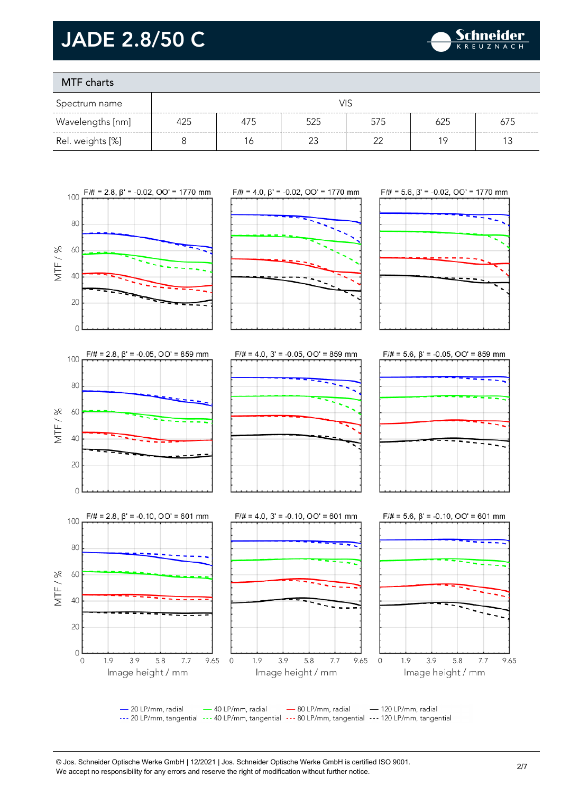

### MTF charts

| Spectrum name    |     |     |     |        |     |     |
|------------------|-----|-----|-----|--------|-----|-----|
| Wavelengths [nm] | 425 | 475 | 525 | 575    | 625 | 675 |
| Rel. weights [%] |     | 6   |     | $\sim$ | 1 C |     |



--- 20 LP/mm, tangential --- 40 LP/mm, tangential --- 80 LP/mm, tangential --- 120 LP/mm, tangential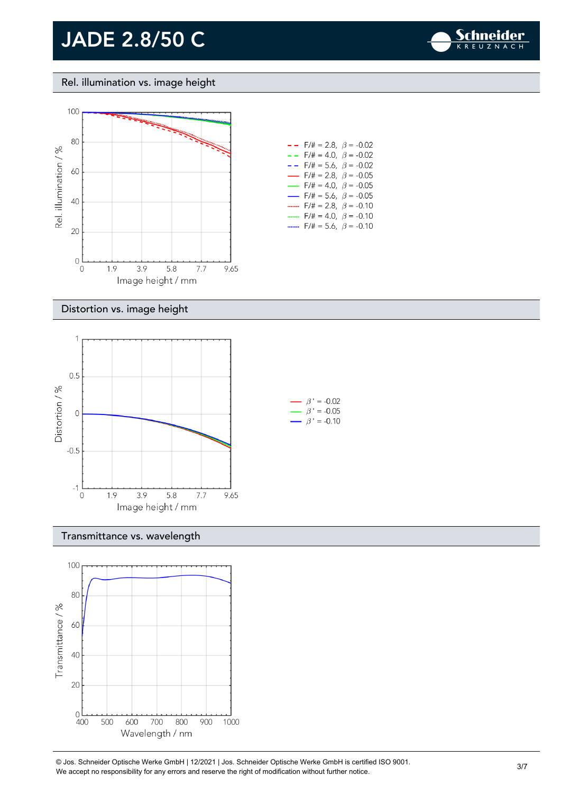

#### Rel. illumination vs. image height



#### $- -$  F/# = 5.6,  $\beta$  = -0.02  $F/\# = 2.8, \ \beta = -0.05$  $F/\ddot{=} = 4.0, \ \beta = -0.05$  $F/\# = 5.6$ ,  $\beta = -0.05$ .......  $F/\# = 2.8, \ \beta = -0.10$ .......  $F/\ddot{=} = 4.0, \ \dot{\beta} = -0.10$ .......  $F/\# = 5.6$ ,  $\beta = -0.10$

#### Distortion vs. image height



#### Transmittance vs. wavelength



© Jos. Schneider Optische Werke GmbH | 12/2021 | Jos. Schneider Optische Werke GmbH is certified ISO 9001. We accept no responsibility for any errors and reserve the right of modification without further notice.<br>We accept no responsibility for any errors and reserve the right of modification without further notice.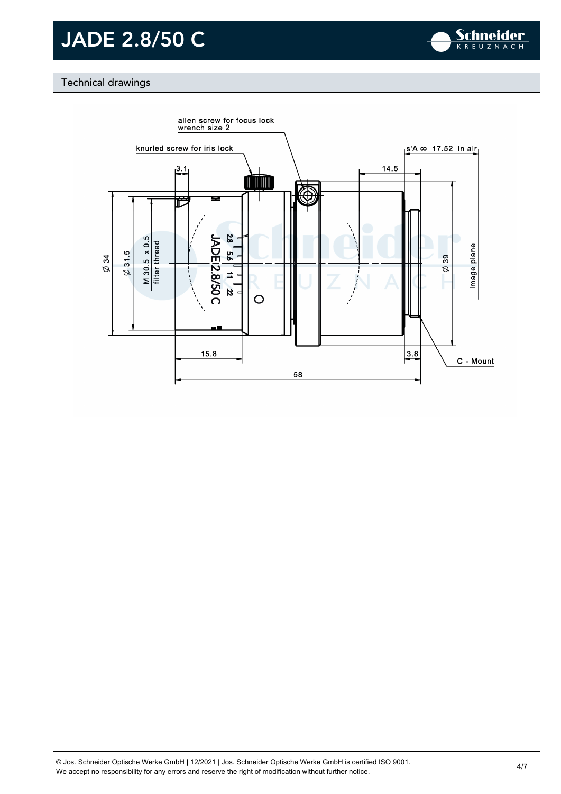

### Technical drawings

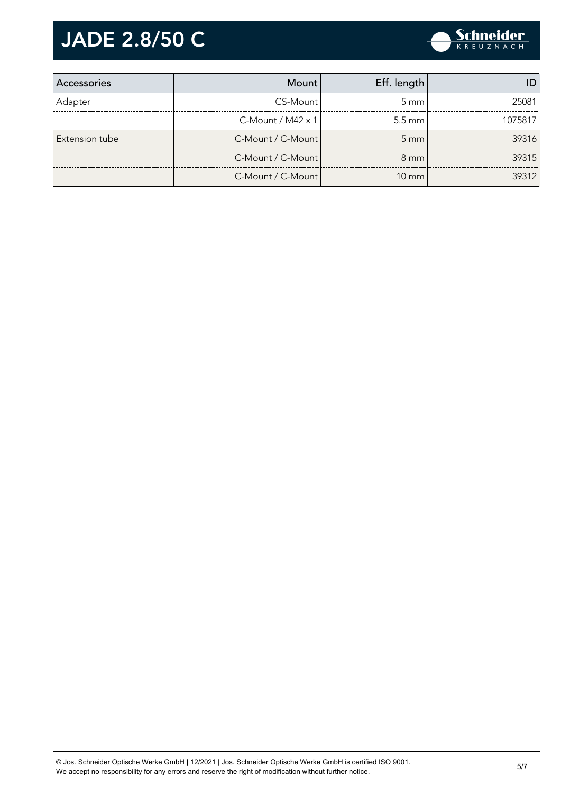

| Accessories    | Mount                       | Eff. length      |         |
|----------------|-----------------------------|------------------|---------|
| Adapter        | CS-Mount                    | $5 \text{ mm}$   | 25081   |
|                | $C$ -Mount / M42 $\times$ 1 | $5.5 \text{ mm}$ | 1075817 |
| Extension tube | C-Mount / C-Mount           | $5 \text{ mm}$   | 39316   |
|                | C-Mount / C-Mount           | $8 \text{ mm}$   | 39315   |
|                | C-Mount / C-Mount           | $10 \text{ mm}$  | 39312   |